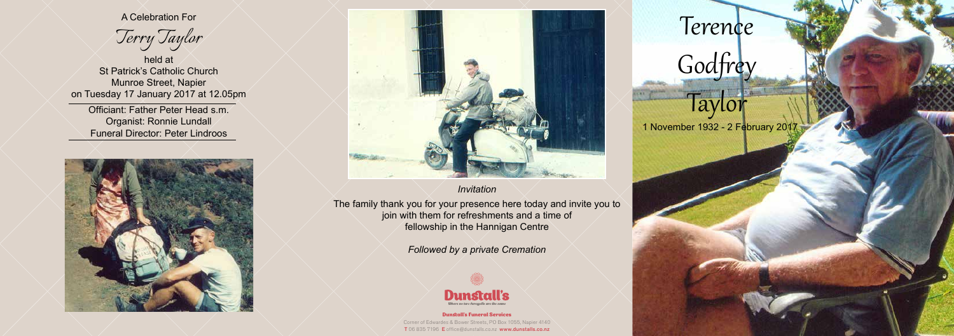#### Dunstall's Funeral Services Corner of Edwardes & Bower Streets, PO Box 1055, Napier 4140 T 06 835 7196 E office@dunstalls.co.nz www.dunstalls.co.nz

Terence

A Celebration For

*Terry Taylor*

held at St Patrick's Catholic Church Munroe Street, Napier on Tuesday 17 January 2017 at 12.05pm

Officiant: Father Peter Head s.m. Organist: Ronnie Lundall Funeral Director: Peter Lindroos





# Godfrey

## $1a^{\gamma}$

1 November 1932 - 2 February 2017

#### *Invitation*

The family thank you for your presence here today and invite you to join with them for refreshments and a time of fellowship in the Hannigan Centre

*Followed by a private Cremation*